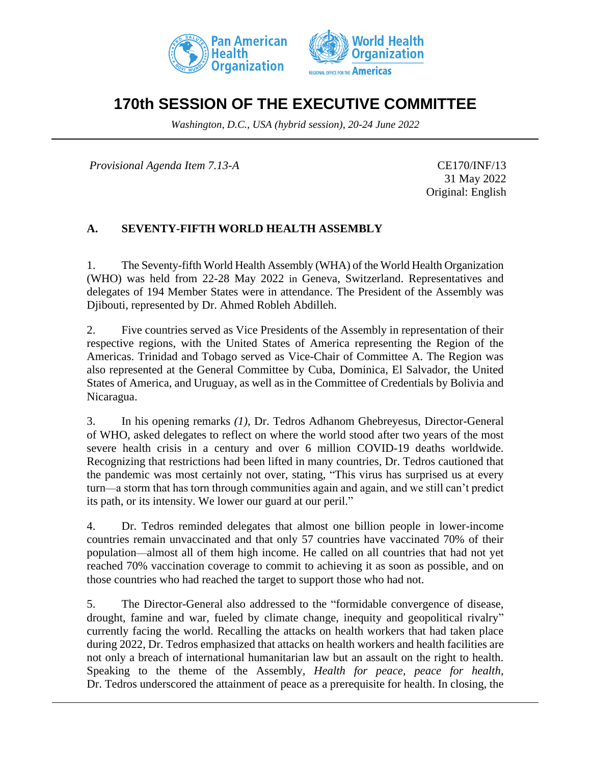



# **170th SESSION OF THE EXECUTIVE COMMITTEE**

*Washington, D.C., USA (hybrid session), 20-24 June 2022*

*Provisional Agenda Item 7.13-A* CE170/INF/13

31 May 2022 Original: English

# **A. SEVENTY-FIFTH WORLD HEALTH ASSEMBLY**

1. The Seventy-fifth World Health Assembly (WHA) of the World Health Organization (WHO) was held from 22-28 May 2022 in Geneva, Switzerland. Representatives and delegates of 194 Member States were in attendance. The President of the Assembly was Djibouti, represented by Dr. Ahmed Robleh Abdilleh.

2. Five countries served as Vice Presidents of the Assembly in representation of their respective regions, with the United States of America representing the Region of the Americas. Trinidad and Tobago served as Vice-Chair of Committee A. The Region was also represented at the General Committee by Cuba, Dominica, El Salvador, the United States of America, and Uruguay, as well as in the Committee of Credentials by Bolivia and Nicaragua.

3. In his opening remarks *(1)*, Dr. Tedros Adhanom Ghebreyesus, Director-General of WHO, asked delegates to reflect on where the world stood after two years of the most severe health crisis in a century and over 6 million COVID-19 deaths worldwide. Recognizing that restrictions had been lifted in many countries, Dr. Tedros cautioned that the pandemic was most certainly not over, stating, "This virus has surprised us at every turn—a storm that has torn through communities again and again, and we still can't predict its path, or its intensity. We lower our guard at our peril."

4. Dr. Tedros reminded delegates that almost one billion people in lower-income countries remain unvaccinated and that only 57 countries have vaccinated 70% of their population—almost all of them high income. He called on all countries that had not yet reached 70% vaccination coverage to commit to achieving it as soon as possible, and on those countries who had reached the target to support those who had not.

5. The Director-General also addressed to the "formidable convergence of disease, drought, famine and war, fueled by climate change, inequity and geopolitical rivalry" currently facing the world. Recalling the attacks on health workers that had taken place during 2022, Dr. Tedros emphasized that attacks on health workers and health facilities are not only a breach of international humanitarian law but an assault on the right to health. Speaking to the theme of the Assembly, *Health for peace, peace for health*, Dr. Tedros underscored the attainment of peace as a prerequisite for health. In closing, the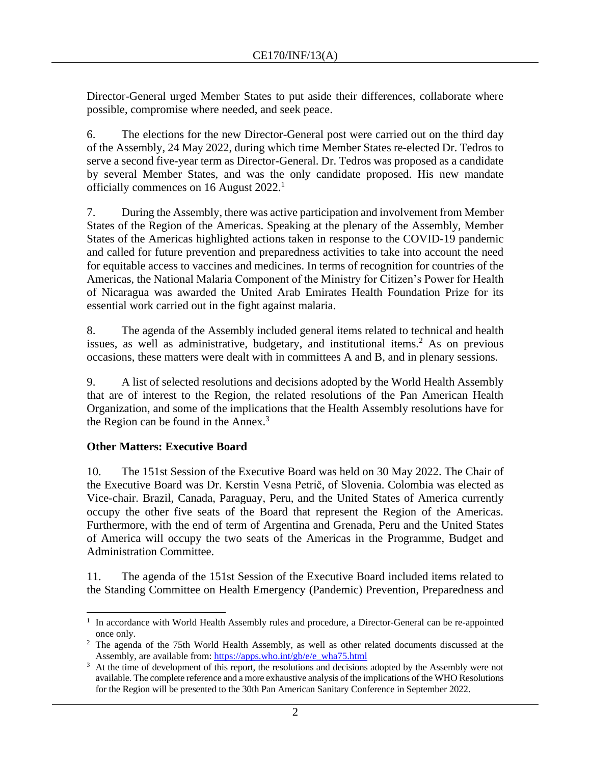Director-General urged Member States to put aside their differences, collaborate where possible, compromise where needed, and seek peace.

6. The elections for the new Director-General post were carried out on the third day of the Assembly, 24 May 2022, during which time Member States re-elected Dr. Tedros to serve a second five-year term as Director-General. Dr. Tedros was proposed as a candidate by several Member States, and was the only candidate proposed. His new mandate officially commences on 16 August 2022.<sup>1</sup>

7. During the Assembly, there was active participation and involvement from Member States of the Region of the Americas. Speaking at the plenary of the Assembly, Member States of the Americas highlighted actions taken in response to the COVID-19 pandemic and called for future prevention and preparedness activities to take into account the need for equitable access to vaccines and medicines. In terms of recognition for countries of the Americas, the National Malaria Component of the Ministry for Citizen's Power for Health of Nicaragua was awarded the United Arab Emirates Health Foundation Prize for its essential work carried out in the fight against malaria.

8. The agenda of the Assembly included general items related to technical and health issues, as well as administrative, budgetary, and institutional items.<sup>2</sup> As on previous occasions, these matters were dealt with in committees A and B, and in plenary sessions.

9. A list of selected resolutions and decisions adopted by the World Health Assembly that are of interest to the Region, the related resolutions of the Pan American Health Organization, and some of the implications that the Health Assembly resolutions have for the Region can be found in the Annex. $3$ 

# **Other Matters: Executive Board**

10. The 151st Session of the Executive Board was held on 30 May 2022. The Chair of the Executive Board was Dr. Kerstin Vesna Petrič, of Slovenia. Colombia was elected as Vice-chair. Brazil, Canada, Paraguay, Peru, and the United States of America currently occupy the other five seats of the Board that represent the Region of the Americas. Furthermore, with the end of term of Argentina and Grenada, Peru and the United States of America will occupy the two seats of the Americas in the Programme, Budget and Administration Committee.

11. The agenda of the 151st Session of the Executive Board included items related to the Standing Committee on Health Emergency (Pandemic) Prevention, Preparedness and

<sup>&</sup>lt;sup>1</sup> In accordance with World Health Assembly rules and procedure, a Director-General can be re-appointed once only.

<sup>&</sup>lt;sup>2</sup> The agenda of the 75th World Health Assembly, as well as other related documents discussed at the Assembly, are available from: [https://apps.who.int/gb/e/e\\_wha75.html](https://apps.who.int/gb/e/e_wha75.html)

<sup>&</sup>lt;sup>3</sup> At the time of development of this report, the resolutions and decisions adopted by the Assembly were not available. The complete reference and a more exhaustive analysis of the implications of the WHO Resolutions for the Region will be presented to the 30th Pan American Sanitary Conference in September 2022.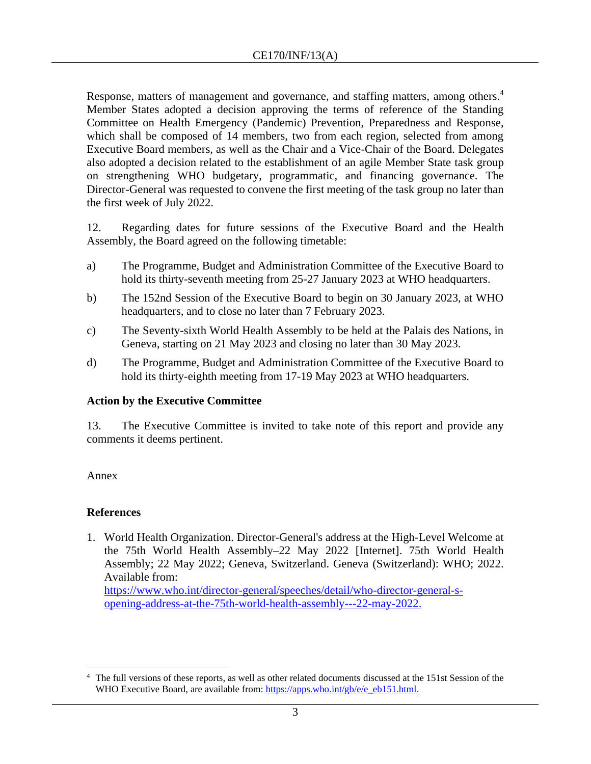Response, matters of management and governance, and staffing matters, among others.<sup>4</sup> Member States adopted a decision approving the terms of reference of the Standing Committee on Health Emergency (Pandemic) Prevention, Preparedness and Response, which shall be composed of 14 members, two from each region, selected from among Executive Board members, as well as the Chair and a Vice-Chair of the Board. Delegates also adopted a decision related to the establishment of an agile Member State task group on strengthening WHO budgetary, programmatic, and financing governance. The Director-General was requested to convene the first meeting of the task group no later than the first week of July 2022.

12. Regarding dates for future sessions of the Executive Board and the Health Assembly, the Board agreed on the following timetable:

- a) The Programme, Budget and Administration Committee of the Executive Board to hold its thirty-seventh meeting from 25-27 January 2023 at WHO headquarters.
- b) The 152nd Session of the Executive Board to begin on 30 January 2023, at WHO headquarters, and to close no later than 7 February 2023.
- c) The Seventy-sixth World Health Assembly to be held at the Palais des Nations, in Geneva, starting on 21 May 2023 and closing no later than 30 May 2023.
- d) The Programme, Budget and Administration Committee of the Executive Board to hold its thirty-eighth meeting from 17-19 May 2023 at WHO headquarters.

## **Action by the Executive Committee**

13. The Executive Committee is invited to take note of this report and provide any comments it deems pertinent.

#### Annex

## **References**

1. World Health Organization. Director-General's address at the High-Level Welcome at the 75th World Health Assembly–22 May 2022 [Internet]. 75th World Health Assembly; 22 May 2022; Geneva, Switzerland. Geneva (Switzerland): WHO; 2022. Available from:

[https://www.who.int/director-general/speeches/detail/who-director-general-s](https://www.who.int/director-general/speeches/detail/who-director-general-s-opening-address-at-the-75th-world-health-assembly---22-may-2022)[opening-address-at-the-75th-world-health-assembly---22-may-2022.](https://www.who.int/director-general/speeches/detail/who-director-general-s-opening-address-at-the-75th-world-health-assembly---22-may-2022)

<sup>4</sup> The full versions of these reports, as well as other related documents discussed at the 151st Session of the WHO Executive Board, are available from: [https://apps.who.int/gb/e/e\\_eb151.html.](https://apps.who.int/gb/e/e_eb151.html)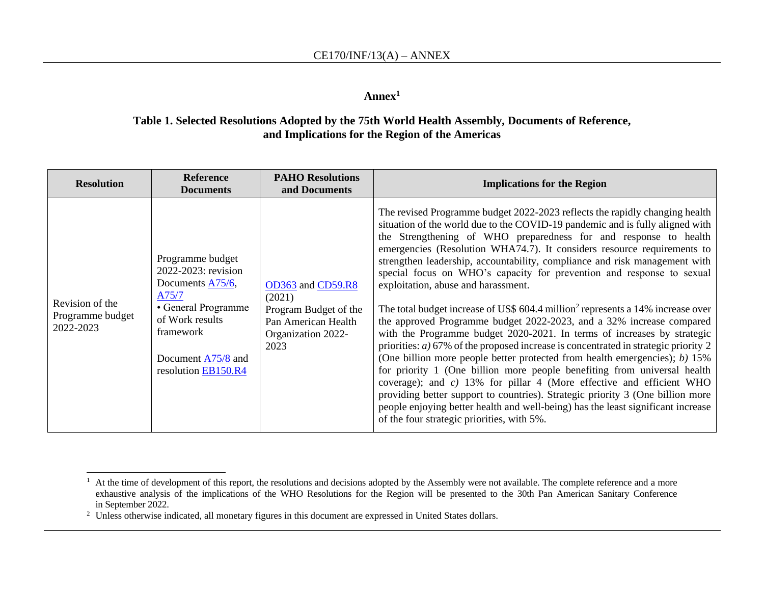#### **Annex<sup>1</sup>**

### **Table 1. Selected Resolutions Adopted by the 75th World Health Assembly, Documents of Reference, and Implications for the Region of the Americas**

| <b>Resolution</b>                                | <b>Reference</b><br><b>Documents</b>                                                                                                                                                      | <b>PAHO Resolutions</b><br>and Documents                                                                  | <b>Implications for the Region</b>                                                                                                                                                                                                                                                                                                                                                                                                                                                                                                                                                                                                                                                                                                                                                                                                                                                                                                                                                                                                                                                                                                                                                                                                                                                                            |
|--------------------------------------------------|-------------------------------------------------------------------------------------------------------------------------------------------------------------------------------------------|-----------------------------------------------------------------------------------------------------------|---------------------------------------------------------------------------------------------------------------------------------------------------------------------------------------------------------------------------------------------------------------------------------------------------------------------------------------------------------------------------------------------------------------------------------------------------------------------------------------------------------------------------------------------------------------------------------------------------------------------------------------------------------------------------------------------------------------------------------------------------------------------------------------------------------------------------------------------------------------------------------------------------------------------------------------------------------------------------------------------------------------------------------------------------------------------------------------------------------------------------------------------------------------------------------------------------------------------------------------------------------------------------------------------------------------|
| Revision of the<br>Programme budget<br>2022-2023 | Programme budget<br>2022-2023: revision<br>Documents A75/6,<br>A75/7<br>• General Programme<br>of Work results<br>framework<br>Document $\frac{A75}{8}$ and<br>resolution <b>EB150.R4</b> | OD363 and CD59.R8<br>(2021)<br>Program Budget of the<br>Pan American Health<br>Organization 2022-<br>2023 | The revised Programme budget 2022-2023 reflects the rapidly changing health<br>situation of the world due to the COVID-19 pandemic and is fully aligned with<br>the Strengthening of WHO preparedness for and response to health<br>emergencies (Resolution WHA74.7). It considers resource requirements to<br>strengthen leadership, accountability, compliance and risk management with<br>special focus on WHO's capacity for prevention and response to sexual<br>exploitation, abuse and harassment.<br>The total budget increase of US\$ 604.4 million <sup>2</sup> represents a 14% increase over<br>the approved Programme budget 2022-2023, and a 32% increase compared<br>with the Programme budget 2020-2021. In terms of increases by strategic<br>priorities: $a)$ 67% of the proposed increase is concentrated in strategic priority 2<br>(One billion more people better protected from health emergencies); b) 15%<br>for priority 1 (One billion more people benefiting from universal health<br>coverage); and $c$ ) 13% for pillar 4 (More effective and efficient WHO<br>providing better support to countries). Strategic priority 3 (One billion more<br>people enjoying better health and well-being) has the least significant increase<br>of the four strategic priorities, with 5%. |

<sup>&</sup>lt;sup>1</sup> At the time of development of this report, the resolutions and decisions adopted by the Assembly were not available. The complete reference and a more exhaustive analysis of the implications of the WHO Resolutions for the Region will be presented to the 30th Pan American Sanitary Conference in September 2022.

<sup>&</sup>lt;sup>2</sup> Unless otherwise indicated, all monetary figures in this document are expressed in United States dollars.